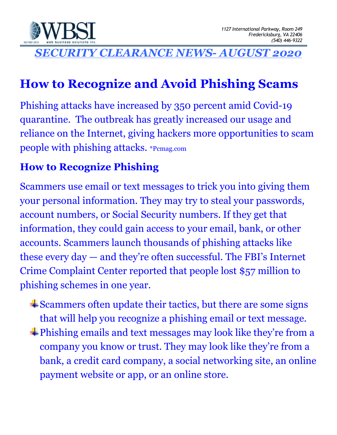

*SECURITY CLEARANCE NEWS- AUGUST 2020*

# **How to Recognize and Avoid Phishing Scams**

Phishing attacks have increased by 350 percent amid Covid-19 quarantine. The outbreak has greatly increased our usage and reliance on the Internet, giving hackers more opportunities to scam people with phishing attacks. \*Pcmag.com

#### **How to Recognize Phishing**

Scammers use email or text messages to trick you into giving them your personal information. They may try to steal your passwords, account numbers, or Social Security numbers. If they get that information, they could gain access to your email, bank, or other accounts. Scammers launch thousands of phishing attacks like these every day — and they're often successful. The FBI's Internet Crime Complaint Center reported that people lost \$57 million to phishing schemes in one year.

 $\triangle$ Scammers often update their tactics, but there are some signs that will help you recognize a phishing email or text message. Phishing emails and text messages may look like they're from a company you know or trust. They may look like they're from a bank, a credit card company, a social networking site, an online payment website or app, or an online store.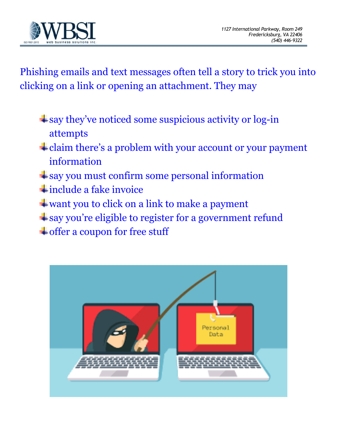

Phishing emails and text messages often tell a story to trick you into clicking on a link or opening an attachment. They may

- $\pm$  say they've noticed some suspicious activity or log-in attempts
- claim there's a problem with your account or your payment information
- say you must confirm some personal information
- $\ddot{+}$  include a fake invoice
- want you to click on a link to make a payment
- say you're eligible to register for a government refund
- $\overline{\phantom{a}}$  offer a coupon for free stuff

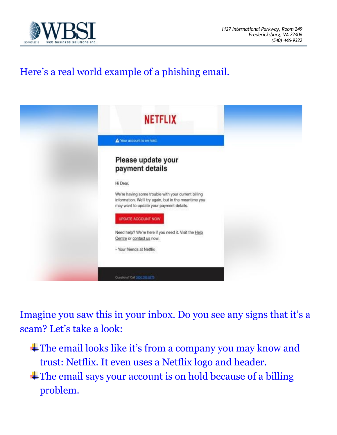

## Here's a real world example of a phishing email.



Imagine you saw this in your inbox. Do you see any signs that it's a scam? Let's take a look:

The email looks like it's from a company you may know and trust: Netflix. It even uses a Netflix logo and header. The email says your account is on hold because of a billing problem.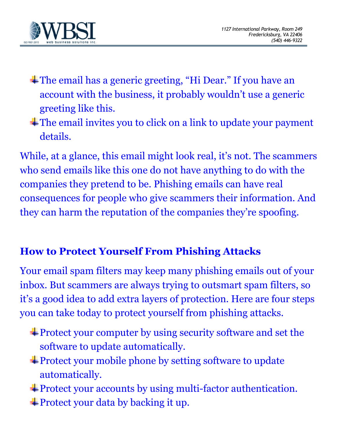

- The email has a generic greeting, "Hi Dear." If you have an account with the business, it probably wouldn't use a generic greeting like this.
- The email invites you to click on a link to update your payment details.

While, at a glance, this email might look real, it's not. The scammers who send emails like this one do not have anything to do with the companies they pretend to be. Phishing emails can have real consequences for people who give scammers their information. And they can harm the reputation of the companies they're spoofing.

#### **How to Protect Yourself From Phishing Attacks**

Your email spam filters may keep many phishing emails out of your inbox. But scammers are always trying to outsmart spam filters, so it's a good idea to add extra layers of protection. Here are four steps you can take today to protect yourself from phishing attacks.

- Protect your computer by using security software and set the software to update automatically.
- Protect your mobile phone by setting software to update automatically.
- Protect your accounts by using multi-factor authentication.
- $\pm$  Protect your data by backing it up.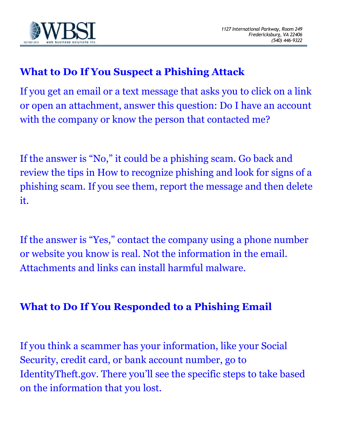

#### **What to Do If You Suspect a Phishing Attack**

If you get an email or a text message that asks you to click on a link or open an attachment, answer this question: Do I have an account with the company or know the person that contacted me?

If the answer is "No," it could be a phishing scam. Go back and review the tips in How to recognize phishing and look for signs of a phishing scam. If you see them, report the message and then delete it.

If the answer is "Yes," contact the company using a phone number or website you know is real. Not the information in the email. Attachments and links can install harmful malware.

#### **What to Do If You Responded to a Phishing Email**

If you think a scammer has your information, like your Social Security, credit card, or bank account number, go to IdentityTheft.gov. There you'll see the specific steps to take based on the information that you lost.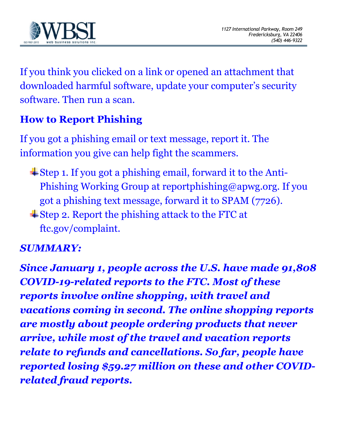

If you think you clicked on a link or opened an attachment that downloaded harmful software, update your computer's security software. Then run a scan.

### **How to Report Phishing**

If you got a phishing email or text message, report it. The information you give can help fight the scammers.

- $\pm$  Step 1. If you got a phishing email, forward it to the Anti-Phishing Working Group at reportphishing@apwg.org. If you got a phishing text message, forward it to SPAM (7726).
- Step 2. Report the phishing attack to the FTC at ftc.gov/complaint.

#### *SUMMARY:*

*Since January 1, people across the U.S. have made 91,808 COVID-19-related reports to the FTC. Most of these reports involve online shopping, with travel and vacations coming in second. The online shopping reports are mostly about people ordering products that never arrive, while most of the travel and vacation reports relate to refunds and cancellations. So far, people have reported losing \$59.27 million on these and other COVIDrelated fraud reports.*